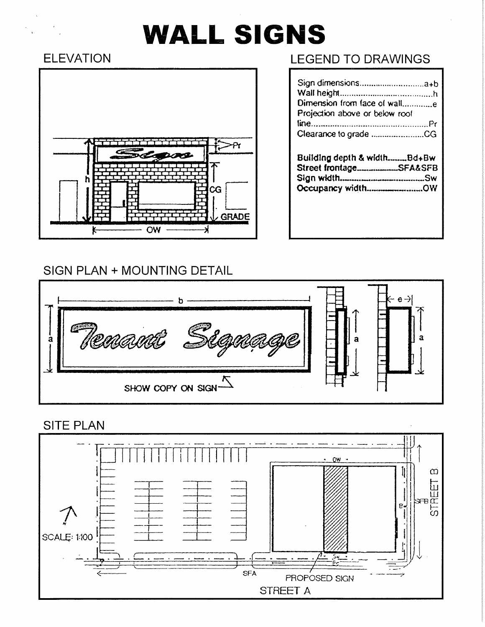# **WALL SIGNS**

# **ELEVATION**

 $\label{eq:1} \begin{aligned} \alpha_{\mathbf{r}} &= \frac{\alpha_{\mathbf{r}}}{\sqrt{2\pi}} \left( \frac{d\mathbf{r}}{d\mathbf{r}} \right) \, , \end{aligned}$ 



## **LEGEND TO DRAWINGS**

| Dimension from face of walle<br>Projection above or below roof             |
|----------------------------------------------------------------------------|
|                                                                            |
| Building depth & widthBd+Bw<br>Street frontageSFA&SFB<br>Occupancy widthOW |

### SIGN PLAN + MOUNTING DETAIL



### **SITE PLAN**

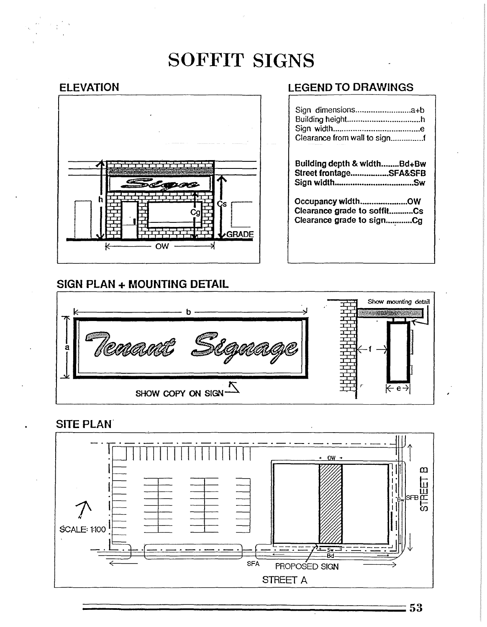# **SOFFIT SIGNS**

#### **ELEVATION**



#### SIGN PLAN + MOUNTING DETAIL

#### **LEGEND TO DRAWINGS**

| Sign dimensionsa+b               |  |
|----------------------------------|--|
|                                  |  |
|                                  |  |
| Clearance from wall to signf     |  |
| A R. P. LEWIS CO., LANSING MICH. |  |
|                                  |  |

Building depth & width........Bd+Bw Street frontage..................SFA&SFB 

Occupancy width..........................OW<br>Clearance grade to soffit...........Cs Clearance grade to sign.............Cg



#### **SITE PLAN**